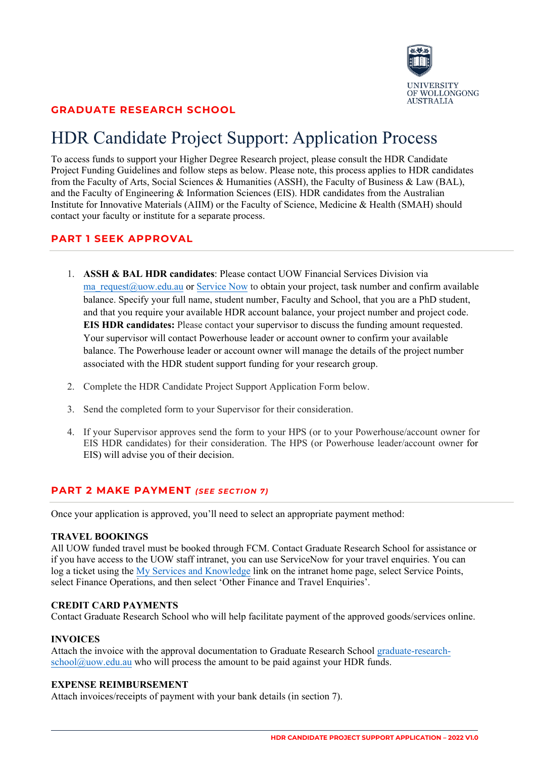

# **GRADUATE RESEARCH SCHOOL**

# HDR Candidate Project Support: Application Process

To access funds to support your Higher Degree Research project, please consult the HDR Candidate Project Funding Guidelines and follow steps as below. Please note, this process applies to HDR candidates from the Faculty of Arts, Social Sciences & Humanities (ASSH), the Faculty of Business & Law (BAL), and the Faculty of Engineering & Information Sciences (EIS). HDR candidates from the Australian Institute for Innovative Materials (AIIM) or the Faculty of Science, Medicine & Health (SMAH) should contact your faculty or institute for a separate process.

# **PART 1 SEEK APPROVAL**

- 1. **ASSH & BAL HDR candidates**: Please contact UOW Financial Services Division via ma request@uow.edu.au or [Service Now](https://uowedu.service-now.com/sp?id=sc_category&sys_id=16b6ff38db473090cda06f5405961995&catalog_id=-1&spa=1) to obtain your project, task number and confirm available balance. Specify your full name, student number, Faculty and School, that you are a PhD student, and that you require your available HDR account balance, your project number and project code. **EIS HDR candidates:** Please contact your supervisor to discuss the funding amount requested. Your supervisor will contact Powerhouse leader or account owner to confirm your available balance. The Powerhouse leader or account owner will manage the details of the project number associated with the HDR student support funding for your research group.
- 2. Complete the HDR Candidate Project Support Application Form below.
- 3. Send the completed form to your Supervisor for their consideration.
- 4. If your Supervisor approves send the form to your HPS (or to your Powerhouse/account owner for EIS HDR candidates) for their consideration. The HPS (or Powerhouse leader/account owner for EIS) will advise you of their decision.

# **PART 2 MAKE PAYMENT** *(SEE SECTION 7)*

Once your application is approved, you'll need to select an appropriate payment method:

#### **TRAVEL BOOKINGS**

All UOW funded travel must be booked through FCM. Contact Graduate Research School for assistance or if you have access to the UOW staff intranet, you can use ServiceNow for your travel enquiries. You can log a ticket using the My [Services and Knowledge](https://uowedu.service-now.com/sp/) link on the intranet home page, select Service Points, select Finance Operations, and then select 'Other Finance and Travel Enquiries'.

#### **CREDIT CARD PAYMENTS**

Contact Graduate Research School who will help facilitate payment of the approved goods/services online.

#### **INVOICES**

Attach the invoice with the approval documentation to Graduate Research School [graduate-research](mailto:graduate-research-school@uow.edu.au) $\text{school@uow.edu.au}$  $\text{school@uow.edu.au}$  $\text{school@uow.edu.au}$  who will process the amount to be paid against your HDR funds.

#### **EXPENSE REIMBURSEMENT**

Attach invoices/receipts of payment with your bank details (in section 7).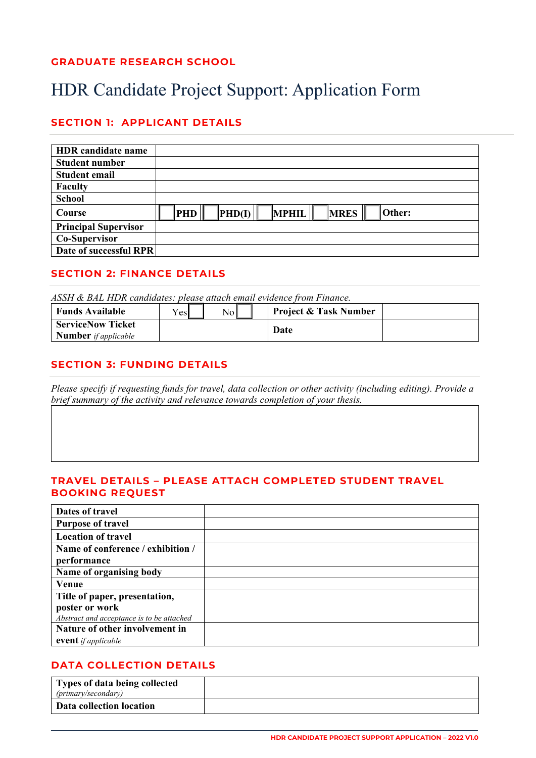# **GRADUATE RESEARCH SCHOOL**

# HDR Candidate Project Support: Application Form

# **SECTION 1: APPLICANT DETAILS**

| <b>HDR</b> candidate name   |                                                                               |
|-----------------------------|-------------------------------------------------------------------------------|
| <b>Student number</b>       |                                                                               |
| <b>Student email</b>        |                                                                               |
| <b>Faculty</b>              |                                                                               |
| <b>School</b>               |                                                                               |
| Course                      | Other:<br><b>MRES</b><br><b>MPHIL</b><br>$\vert$ PHD(I) $\vert$<br><b>PHD</b> |
| <b>Principal Supervisor</b> |                                                                               |
| Co-Supervisor               |                                                                               |
| Date of successful RPR      |                                                                               |

## **SECTION 2: FINANCE DETAILS**

*ASSH & BAL HDR candidates: please attach email evidence from Finance.*

| <b>Funds Available</b>                                  | $V_{\text{CS}}$ | N <sub>o</sub> | <b>Project &amp; Task Number</b> |  |
|---------------------------------------------------------|-----------------|----------------|----------------------------------|--|
| <b>ServiceNow Ticket</b><br><b>Number</b> if applicable |                 |                | Date                             |  |

# **SECTION 3: FUNDING DETAILS**

*Please specify if requesting funds for travel, data collection or other activity (including editing). Provide a brief summary of the activity and relevance towards completion of your thesis.*

### **TRAVEL DETAILS – PLEASE ATTACH COMPLETED STUDENT TRAVEL BOOKING REQUEST**

| Dates of travel                           |  |
|-------------------------------------------|--|
| <b>Purpose of travel</b>                  |  |
| <b>Location of travel</b>                 |  |
| Name of conference / exhibition /         |  |
| performance                               |  |
| Name of organising body                   |  |
| Venue                                     |  |
| Title of paper, presentation,             |  |
| poster or work                            |  |
| Abstract and acceptance is to be attached |  |
| Nature of other involvement in            |  |
| <b>event</b> if applicable                |  |

# **DATA COLLECTION DETAILS**

| Types of data being collected<br>(primary/secondary) |  |
|------------------------------------------------------|--|
| Data collection location                             |  |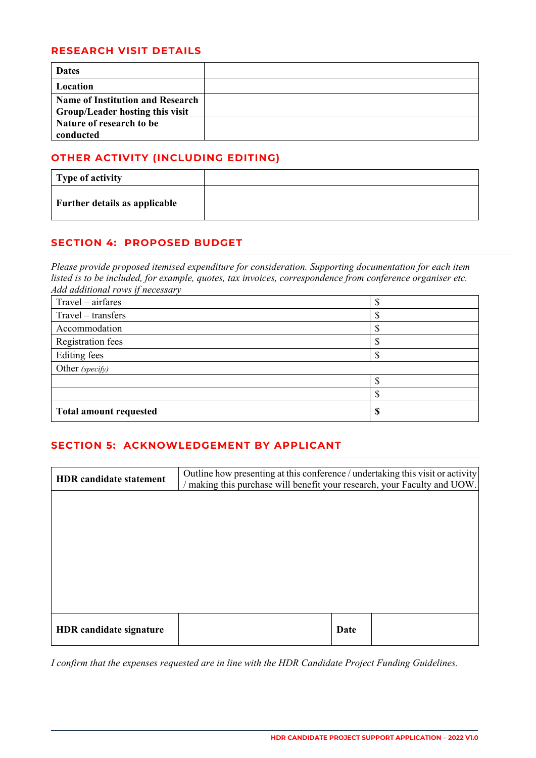## **RESEARCH VISIT DETAILS**

| <b>Dates</b>                            |  |
|-----------------------------------------|--|
| Location                                |  |
| <b>Name of Institution and Research</b> |  |
| Group/Leader hosting this visit         |  |
| Nature of research to be                |  |
| conducted                               |  |

# **OTHER ACTIVITY (INCLUDING EDITING)**

| Type of activity              |  |
|-------------------------------|--|
| Further details as applicable |  |

# **SECTION 4: PROPOSED BUDGET**

*Please provide proposed itemised expenditure for consideration. Supporting documentation for each item listed is to be included, for example, quotes, tax invoices, correspondence from conference organiser etc. Add additional rows if necessary*

| Travel – airfares             |    |
|-------------------------------|----|
| Travel – transfers            |    |
| Accommodation                 |    |
| <b>Registration fees</b>      |    |
| Editing fees                  |    |
| Other (specify)               |    |
|                               |    |
|                               |    |
| <b>Total amount requested</b> | ۱D |

# **SECTION 5: ACKNOWLEDGEMENT BY APPLICANT**

| <b>HDR</b> candidate statement | Outline how presenting at this conference / undertaking this visit or activity<br>/ making this purchase will benefit your research, your Faculty and UOW. |      |  |
|--------------------------------|------------------------------------------------------------------------------------------------------------------------------------------------------------|------|--|
|                                |                                                                                                                                                            |      |  |
|                                |                                                                                                                                                            |      |  |
|                                |                                                                                                                                                            |      |  |
|                                |                                                                                                                                                            |      |  |
|                                |                                                                                                                                                            |      |  |
| <b>HDR</b> candidate signature |                                                                                                                                                            | Date |  |

*I confirm that the expenses requested are in line with the HDR Candidate Project Funding Guidelines.*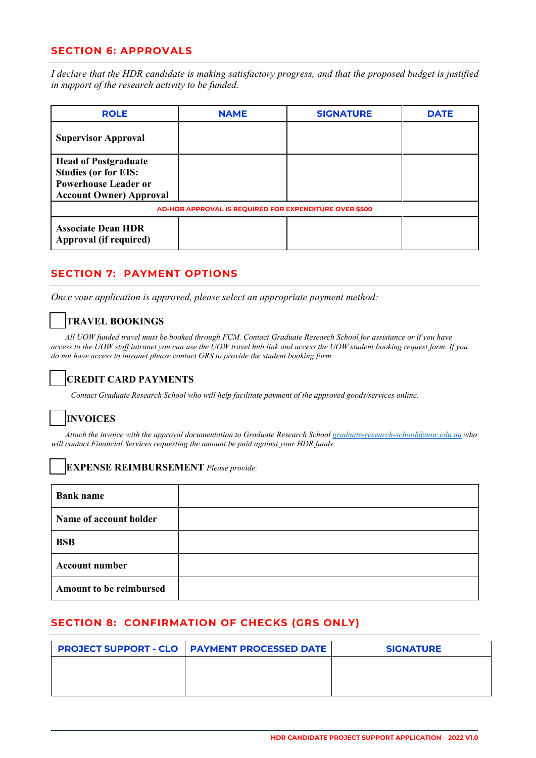### **SECTION 6: APPROVALS**

*I declare that the HDR candidate is making satisfactory progress, and that the proposed budget is justified in support of the research activity to be funded.*

| <b>ROLE</b>                                                                                                                 | <b>NAME</b>                                            | <b>SIGNATURE</b> | <b>DATE</b> |
|-----------------------------------------------------------------------------------------------------------------------------|--------------------------------------------------------|------------------|-------------|
| <b>Supervisor Approval</b>                                                                                                  |                                                        |                  |             |
| <b>Head of Postgraduate</b><br><b>Studies (or for EIS:</b><br><b>Powerhouse Leader or</b><br><b>Account Owner) Approval</b> |                                                        |                  |             |
|                                                                                                                             | AD-HDR APPROVAL IS REQUIRED FOR EXPENDITURE OVER \$500 |                  |             |
| <b>Associate Dean HDR</b><br>Approval (if required)                                                                         |                                                        |                  |             |

# **SECTION 7: PAYMENT OPTIONS**

*Once your application is approved, please select an appropriate payment method:* 

# **TRAVEL BOOKINGS**

*All UOW funded travel must be booked through FCM. Contact Graduate Research School for assistance or if you have access to the UOW staff intranet you can use the UOW travel hub link and access the UOW student booking request form. If you do not have access to intranet please contact GRS to provide the student booking form.*

# **CREDIT CARD PAYMENTS**

*Contact Graduate Research School who will help facilitate payment of the approved goods/services online.* 

# **INVOICES**

 *Attach the invoice with the approval documentation to Graduate Research Schoo[l graduate-research-school@uow.edu.au](mailto:graduate-research-school@uow.edu.au) who will contact Financial Services requesting the amount be paid against your HDR funds.* 

#### **EXPENSE REIMBURSEMENT** *Please provide:*

| <b>Bank name</b>        |  |
|-------------------------|--|
| Name of account holder  |  |
| <b>BSB</b>              |  |
| <b>Account number</b>   |  |
| Amount to be reimbursed |  |

# **SECTION 8: CONFIRMATION OF CHECKS (GRS ONLY)**

| <b>PROJECT SUPPORT - CLO   PAYMENT PROCESSED DATE</b> | <b>SIGNATURE</b> |
|-------------------------------------------------------|------------------|
|                                                       |                  |
|                                                       |                  |
|                                                       |                  |